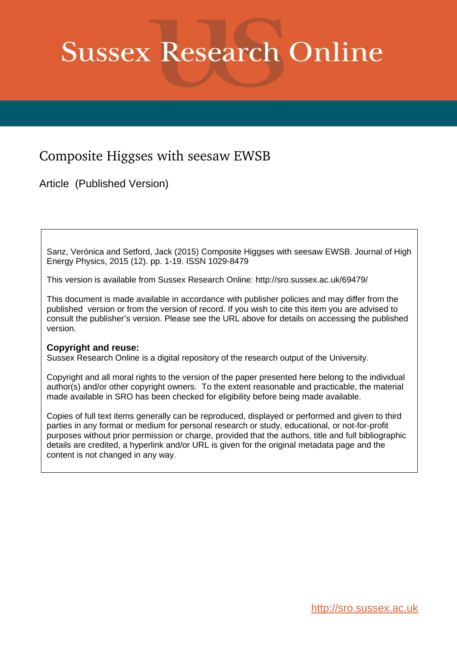# **Sussex Research Online**

# Composite Higgses with seesaw EWSB

Article (Published Version)

Sanz, Verónica and Setford, Jack (2015) Composite Higgses with seesaw EWSB. Journal of High Energy Physics, 2015 (12). pp. 1-19. ISSN 1029-8479

This version is available from Sussex Research Online: http://sro.sussex.ac.uk/69479/

This document is made available in accordance with publisher policies and may differ from the published version or from the version of record. If you wish to cite this item you are advised to consult the publisher's version. Please see the URL above for details on accessing the published version.

## **Copyright and reuse:**

Sussex Research Online is a digital repository of the research output of the University.

Copyright and all moral rights to the version of the paper presented here belong to the individual author(s) and/or other copyright owners. To the extent reasonable and practicable, the material made available in SRO has been checked for eligibility before being made available.

Copies of full text items generally can be reproduced, displayed or performed and given to third parties in any format or medium for personal research or study, educational, or not-for-profit purposes without prior permission or charge, provided that the authors, title and full bibliographic details are credited, a hyperlink and/or URL is given for the original metadata page and the content is not changed in any way.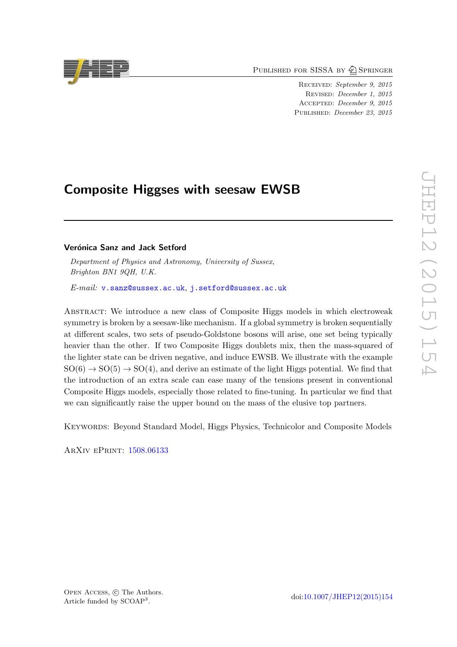PUBLISHED FOR SISSA BY 2 SPRINGER

Received : September 9, 2015 Revised : December 1, 2015 Accepted : December 9, 2015 PUBLISHED: December 23, 2015

# Composite Higgses with seesaw EWSB

### Verónica Sanz and Jack Setford

Department of Physics and Astronomy, University of Sussex, Brighton BN1 9QH, U.K.

 $\emph{E-mail: v.sanz@sussex.ac.uk},$  $\emph{E-mail: v.sanz@sussex.ac.uk},$  $\emph{E-mail: v.sanz@sussex.ac.uk},$   $\emph{j.setford@sussex.ac.uk}$  $\emph{j.setford@sussex.ac.uk}$  $\emph{j.setford@sussex.ac.uk}$ 

<span id="page-1-0"></span>Abstract: We introduce a new class of Composite Higgs models in which electroweak symmetry is broken by a seesaw-like mechanism. If a global symmetry is broken sequentially at different scales, two sets of pseudo-Goldstone bosons will arise, one set being typically heavier than the other. If two Composite Higgs doublets mix, then the mass-squared of the lighter state can be driven negative, and induce EWSB. We illustrate with the example  $SO(6) \rightarrow SO(5) \rightarrow SO(4)$ , and derive an estimate of the light Higgs potential. We find that the introduction of an extra scale can ease many of the tensions present in conventional Composite Higgs models, especially those related to fine-tuning. In particular we find that we can significantly raise the upper bound on the mass of the elusive top partners.

Keywords: Beyond Standard Model, Higgs Physics, Technicolor and Composite Models

ArXiv ePrint: [1508.06133](http://arxiv.org/abs/1508.06133)

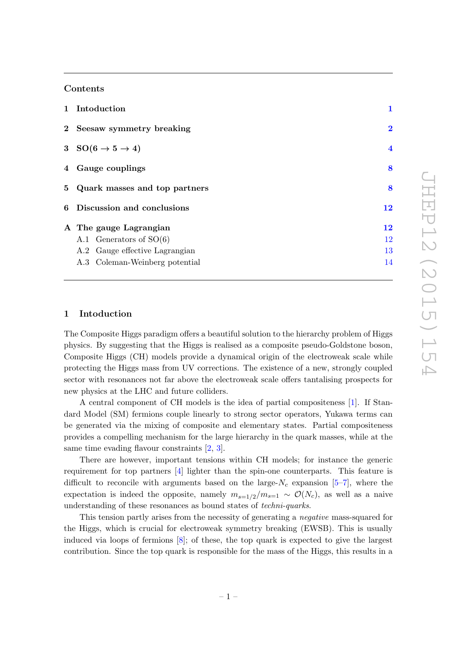#### Contents

| 1 Intoduction                          | 1                       |
|----------------------------------------|-------------------------|
| 2 Seesaw symmetry breaking             | $\bf{2}$                |
| 3 SO $(6 \rightarrow 5 \rightarrow 4)$ | $\overline{\mathbf{4}}$ |
| 4 Gauge couplings                      | 8                       |
| 5 Quark masses and top partners        | 8                       |
| 6 Discussion and conclusions           | 12                      |
| A The gauge Lagrangian                 | 12                      |
| A.1 Generators of $SO(6)$              | 12                      |
| A.2 Gauge effective Lagrangian         | 13                      |
| A.3 Coleman-Weinberg potential         | 14                      |

#### 1 Intoduction

The Composite Higgs paradigm offers a beautiful solution to the hierarchy problem of Higgs physics. By suggesting that the Higgs is realised as a composite pseudo-Goldstone boson, Composite Higgs (CH) models provide a dynamical origin of the electroweak scale while protecting the Higgs mass from UV corrections. The existence of a new, strongly coupled sector with resonances not far above the electroweak scale offers tantalising prospects for new physics at the LHC and future colliders.

A central component of CH models is the idea of partial compositeness [ [1\]](#page-15-0). If Standard Model (SM) fermions couple linearly to strong sector operators, Yukawa terms can be generated via the mixing of composite and elementary states. Partial compositeness provides a compelling mechanism for the large hierarchy in the quark masses, while at the same time evading flavour constraints [[2](#page-15-1), [3\]](#page-15-2).

<span id="page-2-0"></span>There are however, important tensions within CH models; for instance the generic requirement for top partners [ [4\]](#page-15-3) lighter than the spin-one counterparts. This feature is difficult to reconcile with arguments based on the large- $N_c$  expansion [[5](#page-15-4)–[7\]](#page-15-5), where the expectation is indeed the opposite, namely  $m_{s=1/2}/m_{s=1} \sim \mathcal{O}(N_c)$ , as well as a naive understanding of these resonances as bound states of *techni-quarks*.

<span id="page-2-1"></span>This tension partly arises from the necessity of generating a negative mass-squared for the Higgs, which is crucial for electroweak symmetry breaking (EWSB). This is usually induced via loops of fermions [ [8\]](#page-15-6); of these, the top quark is expected to give the largest contribution. Since the top quark is responsible for the mass of the Higgs, this results in a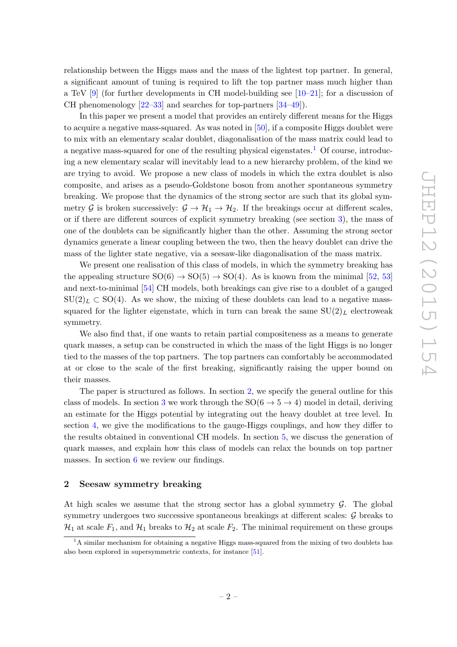relationship between the Higgs mass and the mass of the lightest top partner. In general, a significant amount of tuning is required to lift the top partner mass much higher than a TeV [ [9\]](#page-15-7) (for further developments in CH model-building see [\[10](#page-15-8) [–21\]](#page-16-0); for a discussion of CH phenomenology  $[22-33]$  and searches for top-partners  $[34-49]$ .

In this paper we present a model that provides an entirely different means for the Higgs to acquire a negative mass-squared. As was noted in [\[50\]](#page-17-1), if a composite Higgs doublet were to mix with an elementary scalar doublet, diagonalisation of the mass matrix could lead to a negative mass-squared for one of the resulting physical eigenstates.<sup>[1](#page-2-1)</sup> Of course, introducing a new elementary scalar will inevitably lead to a new hierarchy problem, of the kind we are trying to avoid. We propose a new class of models in which the extra doublet is also composite, and arises as a pseudo-Goldstone boson from another spontaneous symmetry breaking. We propose that the dynamics of the strong sector are such that its global symmetry G is broken successively:  $\mathcal{G} \to \mathcal{H}_1 \to \mathcal{H}_2$ . If the breakings occur at different scales, or if there are different sources of explicit symmetry breaking (see section [3\)](#page-4-0), the mass of one of the doublets can be significantly higher than the other. Assuming the strong sector dynamics generate a linear coupling between the two, then the heavy doublet can drive the mass of the lighter state negative, via a seesaw-like diagonalisation of the mass matrix.

<span id="page-3-0"></span>We present one realisation of this class of models, in which the symmetry breaking has the appealing structure  $SO(6) \rightarrow SO(5) \rightarrow SO(4)$ . As is known from the minimal [\[52](#page-17-2), [53](#page-17-3)] and next-to-minimal [\[54\]](#page-17-4) CH models, both breakings can give rise to a doublet of a gauged  $SU(2)_L \subset SO(4)$ . As we show, the mixing of these doublets can lead to a negative masssquared for the lighter eigenstate, which in turn can break the same  $SU(2)_L$  electroweak symmetry.

We also find that, if one wants to retain partial compositeness as a means to generate quark masses, a setup can be constructed in which the mass of the light Higgs is no longer tied to the masses of the top partners. The top partners can comfortably be accommodated at or close to the scale of the first breaking, significantly raising the upper bound on their masses.

<span id="page-3-1"></span>The paper is structured as follows. In section [2,](#page-2-0) we specify the general outline for this class of models. In section [3](#page-4-0) we work through the  $SO(6 \rightarrow 5 \rightarrow 4)$  model in detail, deriving an estimate for the Higgs potential by integrating out the heavy doublet at tree level. In section [4,](#page-8-0) we give the modifications to the gauge-Higgs couplings, and how they differ to the results obtained in conventional CH models. In section [5,](#page-8-1) we discuss the generation of quark masses, and explain how this class of models can relax the bounds on top partner masses. In section [6](#page-12-0) we review our findings.

#### 2 Seesaw symmetry breaking

At high scales we assume that the strong sector has a global symmetry  $\mathcal{G}$ . The global symmetry undergoes two successive spontaneous breakings at different scales:  $\mathcal G$  breaks to  $\mathcal{H}_1$  at scale  $F_1$ , and  $\mathcal{H}_1$  breaks to  $\mathcal{H}_2$  at scale  $F_2$ . The minimal requirement on these groups

<sup>&</sup>lt;sup>1</sup>A similar mechanism for obtaining a negative Higgs mass-squared from the mixing of two doublets has also been explored in supersymmetric contexts, for instance [\[51\]](#page-17-5).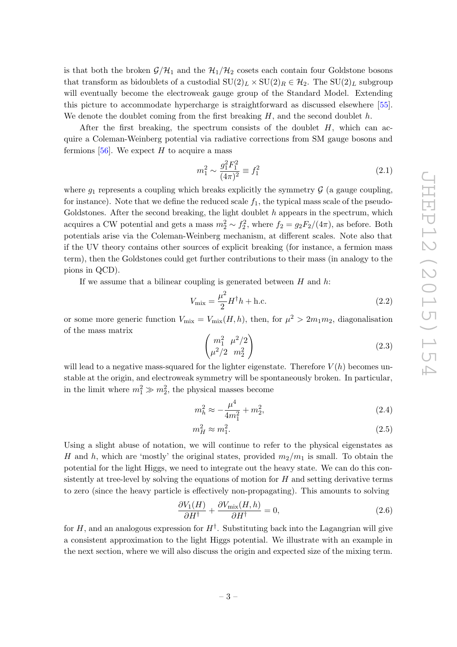<span id="page-4-0"></span>is that both the broken  $\mathcal{G}/\mathcal{H}_1$  and the  $\mathcal{H}_1/\mathcal{H}_2$  cosets each contain four Goldstone bosons that transform as bidoublets of a custodial  $SU(2)_L \times SU(2)_R \in \mathcal{H}_2$ . The  $SU(2)_L$  subgroup will eventually become the electroweak gauge group of the Standard Model. Extending this picture to accommodate hypercharge is straightforward as discussed elsewhere [\[55\]](#page-17-6). We denote the doublet coming from the first breaking  $H$ , and the second doublet  $h$ .

After the first breaking, the spectrum consists of the doublet  $H$ , which can acquire a Coleman-Weinberg potential via radiative corrections from SM gauge bosons and fermions  $[56]$ . We expect H to acquire a mass

$$
m_1^2 \sim \frac{g_1^2 F_1^2}{(4\pi)^2} \equiv f_1^2 \tag{2.1}
$$

where  $g_1$  represents a coupling which breaks explicitly the symmetry  $\mathcal G$  (a gauge coupling, for instance). Note that we define the reduced scale  $f_1$ , the typical mass scale of the pseudo-Goldstones. After the second breaking, the light doublet  $h$  appears in the spectrum, which acquires a CW potential and gets a mass  $m_2^2 \sim f_2^2$ , where  $f_2 = g_2 F_2/(4\pi)$ , as before. Both potentials arise via the Coleman-Weinberg mechanism, at different scales. Note also that if the UV theory contains other sources of explicit breaking (for instance, a fermion mass term), then the Goldstones could get further contributions to their mass (in analogy to the pions in QCD).

If we assume that a bilinear coupling is generated between  $H$  and  $h$ :

$$
V_{\text{mix}} = \frac{\mu^2}{2} H^{\dagger} h + \text{h.c.}
$$
\n(2.2)

or some more generic function  $V_{\text{mix}} = V_{\text{mix}}(H, h)$ , then, for  $\mu^2 > 2m_1m_2$ , diagonalisation of the mass matrix

$$
\begin{pmatrix} m_1^2 & \mu^2/2 \\ \mu^2/2 & m_2^2 \end{pmatrix} \tag{2.3}
$$

will lead to a negative mass-squared for the lighter eigenstate. Therefore  $V(h)$  becomes unstable at the origin, and electroweak symmetry will be spontaneously broken. In particular, in the limit where  $m_1^2 \gg m_2^2$ , the physical masses become

$$
m_h^2 \approx -\frac{\mu^4}{4m_1^2} + m_2^2,\tag{2.4}
$$

$$
m_H^2 \approx m_1^2. \tag{2.5}
$$

Using a slight abuse of notation, we will continue to refer to the physical eigenstates as H and h, which are 'mostly' the original states, provided  $m_2/m_1$  is small. To obtain the potential for the light Higgs, we need to integrate out the heavy state. We can do this consistently at tree-level by solving the equations of motion for  $H$  and setting derivative terms to zero (since the heavy particle is effectively non-propagating). This amounts to solving

<span id="page-4-1"></span>
$$
\frac{\partial V_1(H)}{\partial H^{\dagger}} + \frac{\partial V_{\text{mix}}(H, h)}{\partial H^{\dagger}} = 0, \qquad (2.6)
$$

for H, and an analogous expression for  $H^{\dagger}$ . Substituting back into the Lagangrian will give a consistent approximation to the light Higgs potential. We illustrate with an example in the next section, where we will also discuss the origin and expected size of the mixing term.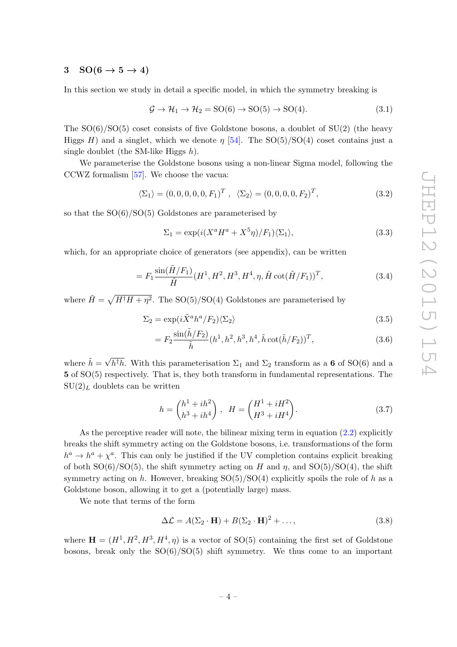## 3  $SO(6 \rightarrow 5 \rightarrow 4)$

In this section we study in detail a specific model, in which the symmetry breaking is

$$
\mathcal{G} \to \mathcal{H}_1 \to \mathcal{H}_2 = SO(6) \to SO(5) \to SO(4). \tag{3.1}
$$

The SO(6) /SO(5) coset consists of five Goldstone bosons, a doublet of SU(2) (the heavy Higgs H) and a singlet, which we denote  $\eta$  [\[54\]](#page-17-4). The SO(5)/SO(4) coset contains just a single doublet (the SM-like Higgs  $h$ ).

We parameterise the Goldstone bosons using a non-linear Sigma model, following the CCWZ formalism [\[57\]](#page-18-0). We choose the vacua:

$$
\langle \Sigma_1 \rangle = (0, 0, 0, 0, 0, F_1)^T , \quad \langle \Sigma_2 \rangle = (0, 0, 0, 0, F_2)^T,
$$
\n(3.2)

so that the SO(6) /SO(5) Goldstones are parameterised by

<span id="page-5-1"></span>
$$
\Sigma_1 = \exp(i(X^a H^a + X^5 \eta)/F_1)\langle\Sigma_1\rangle, \tag{3.3}
$$

which, for an appropriate choice of generators (see appendix), can be written

$$
= F_1 \frac{\sin(\tilde{H}/F_1)}{\tilde{H}} (H^1, H^2, H^3, H^4, \eta, \tilde{H} \cot(\tilde{H}/F_1))^T, \tag{3.4}
$$

where  $\tilde{H} = \sqrt{H^{\dagger}H + \eta^2}$ . The SO(5)/SO(4) Goldstones are parameterised by

$$
\Sigma_2 = \exp(i\tilde{X}^a h^a / F_2) \langle \Sigma_2 \rangle \tag{3.5}
$$

$$
= F_2 \frac{\sin(\tilde{h}/F_2)}{\tilde{h}} (h^1, h^2, h^3, h^4, \tilde{h} \cot(\tilde{h}/F_2))^T, \tag{3.6}
$$

where  $\tilde{h} = \sqrt{h^{\dagger}h}$ . With this parameterisation  $\Sigma_1$  and  $\Sigma_2$  transform as a 6 of SO(6) and a 5 of SO(5) respectively. That is, they both transform in fundamental representations. The  $SU(2)_L$  doublets can be written

$$
h = \begin{pmatrix} h^1 + ih^2 \\ h^3 + ih^4 \end{pmatrix}, \quad H = \begin{pmatrix} H^1 + iH^2 \\ H^3 + iH^4 \end{pmatrix}.
$$
 (3.7)

As the perceptive reader will note, the bilinear mixing term in equation [\(2.2\)](#page-3-0) explicitly breaks the shift symmetry acting on the Goldstone bosons, i.e. transformations of the form  $h^a \to h^a + \chi^a$ . This can only be justified if the UV completion contains explicit breaking of both  $SO(6)/SO(5)$ , the shift symmetry acting on H and  $\eta$ , and  $SO(5)/SO(4)$ , the shift symmetry acting on h. However, breaking  $SO(5)/SO(4)$  explicitly spoils the role of h as a Goldstone boson, allowing it to get a (potentially large) mass.

We note that terms of the form

$$
\Delta \mathcal{L} = A(\Sigma_2 \cdot \mathbf{H}) + B(\Sigma_2 \cdot \mathbf{H})^2 + \dots,
$$
\n(3.8)

<span id="page-5-0"></span>where  $\mathbf{H} = (H^1, H^2, H^3, H^4, \eta)$  is a vector of SO(5) containing the first set of Goldstone bosons, break only the SO(6) /SO(5) shift symmetry. We thus come to an important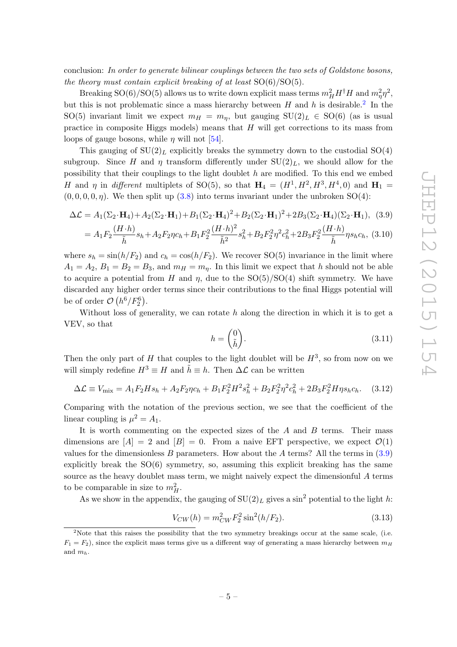conclusion: In order to generate bilinear couplings between the two sets of Goldstone bosons, the theory must contain explicit breaking of at least  $SO(6)/SO(5)$ .

Breaking SO(6)/SO(5) allows us to write down explicit mass terms  $m_H^2 H^{\dagger} H$  and  $m_{\eta}^2 \eta^2$ , but this is not problematic since a mass hierarchy between  $H$  and  $h$  is desirable.<sup>[2](#page-5-0)</sup> In the SO(5) invariant limit we expect  $m_H = m_\eta$ , but gauging  $SU(2)_L \in SO(6)$  (as is usual practice in composite Higgs models) means that H will get corrections to its mass from loops of gauge bosons, while  $\eta$  will not [\[54\]](#page-17-4).

This gauging of  $SU(2)_L$  explicitly breaks the symmetry down to the custodial  $SO(4)$ subgroup. Since H and  $\eta$  transform differently under  $SU(2)_L$ , we should allow for the possibility that their couplings to the light doublet  $h$  are modified. To this end we embed H and  $\eta$  in different multiplets of SO(5), so that  $H_4 = (H^1, H^2, H^3, H^4, 0)$  and  $H_1 =$  $(0,0,0,0,\eta)$ . We then split up  $(3.8)$  into terms invariant under the unbroken SO(4):

$$
\Delta \mathcal{L} = A_1(\Sigma_2 \cdot \mathbf{H}_4) + A_2(\Sigma_2 \cdot \mathbf{H}_1) + B_1(\Sigma_2 \cdot \mathbf{H}_4)^2 + B_2(\Sigma_2 \cdot \mathbf{H}_1)^2 + 2B_3(\Sigma_2 \cdot \mathbf{H}_4)(\Sigma_2 \cdot \mathbf{H}_1), \tag{3.9}
$$

$$
=A_1F_2\frac{(H\cdot h)}{\tilde{h}}s_h+A_2F_2\eta c_h+B_1F_2^2\frac{(H\cdot h)^2}{\tilde{h}^2}s_h^2+B_2F_2^2\eta^2c_h^2+2B_3F_2^2\frac{(H\cdot h)}{\tilde{h}}\eta s_h c_h, (3.10)
$$

where  $s_h = \sin(h/F_2)$  and  $c_h = \cos(h/F_2)$ . We recover SO(5) invariance in the limit where  $A_1 = A_2, B_1 = B_2 = B_3$ , and  $m_H = m_\eta$ . In this limit we expect that h should not be able to acquire a potential from H and  $\eta$ , due to the  $SO(5)/SO(4)$  shift symmetry. We have discarded any higher order terms since their contributions to the final Higgs potential will be of order  $\mathcal{O}(h^6/F_2^6)$ .

Without loss of generality, we can rotate  $h$  along the direction in which it is to get a VEV, so that

$$
h = \begin{pmatrix} 0 \\ \tilde{h} \end{pmatrix}.
$$
 (3.11)

Then the only part of H that couples to the light doublet will be  $H^3$ , so from now on we will simply redefine  $H^3 \equiv H$  and  $\tilde{h} \equiv h$ . Then  $\Delta \mathcal{L}$  can be written

$$
\Delta \mathcal{L} \equiv V_{\text{mix}} = A_1 F_2 H s_h + A_2 F_2 \eta c_h + B_1 F_2^2 H^2 s_h^2 + B_2 F_2^2 \eta^2 c_h^2 + 2 B_3 F_2^2 H \eta s_h c_h. \tag{3.12}
$$

Comparing with the notation of the previous section, we see that the coefficient of the linear coupling is  $\mu^2 = A_1$ .

It is worth commenting on the expected sizes of the A and B terms. Their mass dimensions are  $[A] = 2$  and  $[B] = 0$ . From a naive EFT perspective, we expect  $\mathcal{O}(1)$ values for the dimensionless B parameters. How about the A terms? All the terms in  $(3.9)$ explicitly break the  $SO(6)$  symmetry, so, assuming this explicit breaking has the same source as the heavy doublet mass term, we might naively expect the dimensionful A terms to be comparable in size to  $m_H^2$ .

As we show in the appendix, the gauging of  $SU(2)_L$  gives a sin<sup>2</sup> potential to the light h:

<span id="page-6-1"></span>
$$
V_{CW}(h) = m_{CW}^2 F_2^2 \sin^2(h/F_2).
$$
\n(3.13)

<span id="page-6-0"></span><sup>&</sup>lt;sup>2</sup>Note that this raises the possibility that the two symmetry breakings occur at the same scale, (i.e.  $F_1 = F_2$ , since the explicit mass terms give us a different way of generating a mass hierarchy between  $m_H$ and  $m_h$ .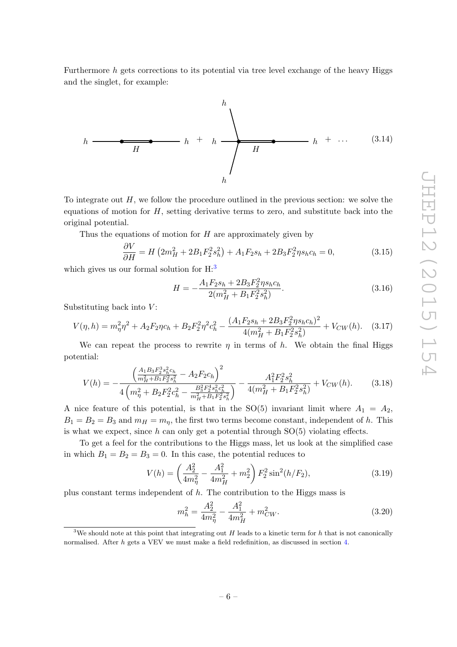Furthermore h gets corrections to its potential via tree level exchange of the heavy Higgs and the singlet, for example:



<span id="page-7-1"></span>To integrate out  $H$ , we follow the procedure outlined in the previous section: we solve the equations of motion for H, setting derivative terms to zero, and substitute back into the original potential.

Thus the equations of motion for  $H$  are approximately given by

$$
\frac{\partial V}{\partial H} = H \left( 2m_H^2 + 2B_1 F_2^2 s_h^2 \right) + A_1 F_2 s_h + 2B_3 F_2^2 \eta s_h c_h = 0, \tag{3.15}
$$

which gives us our formal solution for  $H:3$  $H:3$ 

√∽

<span id="page-7-0"></span>
$$
H = -\frac{A_1 F_2 s_h + 2B_3 F_2^2 \eta s_h c_h}{2(m_H^2 + B_1 F_2^2 s_h^2)}.
$$
\n(3.16)

Substituting back into V:

$$
V(\eta, h) = m_{\eta}^2 \eta^2 + A_2 F_2 \eta c_h + B_2 F_2^2 \eta^2 c_h^2 - \frac{(A_1 F_2 s_h + 2B_3 F_2^2 \eta s_h c_h)^2}{4(m_H^2 + B_1 F_2^2 s_h^2)} + V_{CW}(h). \tag{3.17}
$$

We can repeat the process to rewrite  $\eta$  in terms of h. We obtain the final Higgs potential:

$$
V(h) = -\frac{\left(\frac{A_1 B_3 F_2^3 s_h^2 c_h}{m_H^2 + B_1 F_2^2 s_h^2} - A_2 F_2 c_h\right)^2}{4\left(m_\eta^2 + B_2 F_2^2 c_h^2 - \frac{B_3^2 F_2^4 s_h^2 c_h^2}{m_H^2 + B_1 F_2^2 s_h^2}\right)} - \frac{A_1^2 F_2^2 s_h^2}{4(m_H^2 + B_1 F_2^2 s_h^2)} + V_{CW}(h). \tag{3.18}
$$

A nice feature of this potential, is that in the  $SO(5)$  invariant limit where  $A_1 = A_2$ ,  $B_1 = B_2 = B_3$  and  $m_H = m_\eta$ , the first two terms become constant, independent of h. This is what we expect, since  $h$  can only get a potential through  $SO(5)$  violating effects.

To get a feel for the contributions to the Higgs mass, let us look at the simplified case in which  $B_1 = B_2 = B_3 = 0$ . In this case, the potential reduces to

$$
V(h) = \left(\frac{A_2^2}{4m_\eta^2} - \frac{A_1^2}{4m_H^2} + m_2^2\right) F_2^2 \sin^2(h/F_2),\tag{3.19}
$$

plus constant terms independent of h. The contribution to the Higgs mass is

$$
m_h^2 = \frac{A_2^2}{4m_\eta^2} - \frac{A_1^2}{4m_H^2} + m_{CW}^2.
$$
 (3.20)

<sup>&</sup>lt;sup>3</sup>We should note at this point that integrating out  $H$  leads to a kinetic term for  $h$  that is not canonically normalised. After h gets a VEV we must make a field redefinition, as discussed in section [4](#page-8-0).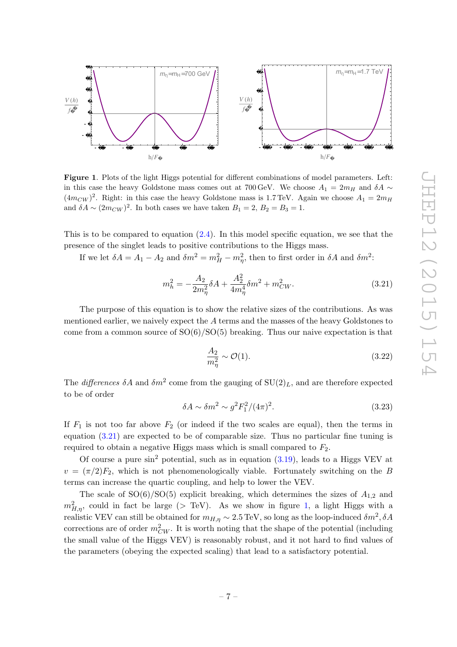<span id="page-8-0"></span>

<span id="page-8-3"></span>Figure 1. Plots of the light Higgs potential for different combinations of model parameters. Left: in this case the heavy Goldstone mass comes out at 700 GeV. We choose  $A_1 = 2m_H$  and  $\delta A \sim$  $(4m_{CW})^2$ . Right: in this case the heavy Goldstone mass is 1.7 TeV. Again we choose  $A_1 = 2m_H$ and  $\delta A \sim (2m_{CW})^2$ . In both cases we have taken  $B_1 = 2, B_2 = B_3 = 1$ .

This is to be compared to equation  $(2.4)$ . In this model specific equation, we see that the presence of the singlet leads to positive contributions to the Higgs mass.

If we let  $\delta A = A_1 - A_2$  and  $\delta m^2 = m_H^2 - m_\eta^2$ , then to first order in  $\delta A$  and  $\delta m^2$ :

$$
m_h^2 = -\frac{A_2}{2m_\eta^2} \delta A + \frac{A_2^2}{4m_\eta^4} \delta m^2 + m_{CW}^2.
$$
 (3.21)

The purpose of this equation is to show the relative sizes of the contributions. As was mentioned earlier, we naively expect the A terms and the masses of the heavy Goldstones to come from a common source of  $SO(6)/SO(5)$  breaking. Thus our naive expectation is that

$$
\frac{A_2}{m_\eta^2} \sim \mathcal{O}(1). \tag{3.22}
$$

The *differences*  $\delta A$  and  $\delta m^2$  come from the gauging of  $SU(2)_L$ , and are therefore expected to be of order

$$
\delta A \sim \delta m^2 \sim g^2 F_1^2 / (4\pi)^2. \tag{3.23}
$$

If  $F_1$  is not too far above  $F_2$  (or indeed if the two scales are equal), then the terms in equation [\(3.21\)](#page-7-0) are expected to be of comparable size. Thus no particular fine tuning is required to obtain a negative Higgs mass which is small compared to  $F_2$ .

Of course a pure  $\sin^2$  potential, such as in equation  $(3.19)$ , leads to a Higgs VEV at  $v = (\pi/2)F_2$ , which is not phenomenologically viable. Fortunately switching on the B terms can increase the quartic coupling, and help to lower the VEV.

<span id="page-8-2"></span><span id="page-8-1"></span>The scale of  $SO(6)/SO(5)$  explicit breaking, which determines the sizes of  $A_{1,2}$  and  $m_{H,\eta}^2$ , could in fact be large (> TeV). As we show in figure [1,](#page-7-1) a light Higgs with a realistic VEV can still be obtained for  $m_{H,\eta} \sim 2.5 \,\mathrm{TeV}$ , so long as the loop-induced  $\delta m^2$ ,  $\delta A$ corrections are of order  $m_{CW}^2$ . It is worth noting that the shape of the potential (including the small value of the Higgs VEV) is reasonably robust, and it not hard to find values of the parameters (obeying the expected scaling) that lead to a satisfactory potential.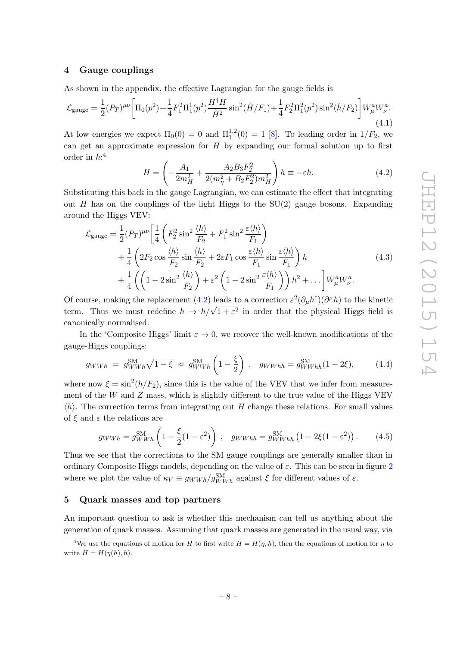#### 4 Gauge couplings

As shown in the appendix, the effective Lagrangian for the gauge fields is

$$
\mathcal{L}_{\text{gauge}} = \frac{1}{2} (P_T)^{\mu\nu} \left[ \Pi_0(p^2) + \frac{1}{4} F_1^2 \Pi_1^1(p^2) \frac{H^\dagger H}{\tilde{H}^2} \sin^2(\tilde{H}/F_1) + \frac{1}{4} F_2^2 \Pi_1^2(p^2) \sin^2(\tilde{h}/F_2) \right] W^a_\mu W^a_\nu. \tag{4.1}
$$

At low energies we expect  $\Pi_0(0) = 0$  and  $\Pi_1^{1,2}$  $1^{1,2}(0) = 1$  [[8\]](#page-15-6). To leading order in  $1/F_2$ , we can get an approximate expression for H by expanding our formal solution up to first order in  $h:$ <sup>[4](#page-8-2)</sup>

$$
H = \left(-\frac{A_1}{2m_H^2} + \frac{A_2 B_3 F_2^2}{2(m_\eta^2 + B_2 F_2^2) m_H^2}\right) h \equiv -\varepsilon h. \tag{4.2}
$$

Substituting this back in the gauge Lagrangian, we can estimate the effect that integrating out H has on the couplings of the light Higgs to the  $SU(2)$  gauge bosons. Expanding around the Higgs VEV:

<span id="page-9-0"></span>
$$
\mathcal{L}_{\text{gauge}} = \frac{1}{2} (P_T)^{\mu\nu} \left[ \frac{1}{4} \left( F_2^2 \sin^2 \frac{\langle h \rangle}{F_2} + F_1^2 \sin^2 \frac{\varepsilon \langle h \rangle}{F_1} \right) + \frac{1}{4} \left( 2F_2 \cos \frac{\langle h \rangle}{F_2} \sin \frac{\langle h \rangle}{F_2} + 2\varepsilon F_1 \cos \frac{\varepsilon \langle h \rangle}{F_1} \sin \frac{\varepsilon \langle h \rangle}{F_1} \right) h + \frac{1}{4} \left( \left( 1 - 2 \sin^2 \frac{\langle h \rangle}{F_2} \right) + \varepsilon^2 \left( 1 - 2 \sin^2 \frac{\varepsilon \langle h \rangle}{F_1} \right) \right) h^2 + \dots \right] W_\mu^a W_\nu^a.
$$
\n(4.3)

Of course, making the replacement [\(4.2\)](#page-8-3) leads to a correction  $\varepsilon^2(\partial_\mu h^{\dagger})(\partial^\mu h)$  to the kinetic term. Thus we must redefine  $h \to h/\sqrt{1+\epsilon^2}$  in order that the physical Higgs field is canonically normalised.

In the 'Composite Higgs' limit  $\varepsilon \to 0$ , we recover the well-known modifications of the gauge-Higgs couplings:

<span id="page-9-2"></span>
$$
g_{WWh} = g_{WWh}^{\text{SM}} \sqrt{1 - \xi} \approx g_{WWh}^{\text{SM}} \left( 1 - \frac{\xi}{2} \right) , \quad g_{WWhh} = g_{WWhh}^{\text{SM}} (1 - 2\xi), \tag{4.4}
$$

where now  $\xi = \sin^2(h/F_2)$ , since this is the value of the VEV that we infer from measurement of the  $W$  and  $Z$  mass, which is slightly different to the true value of the Higgs VEV  $\langle h \rangle$ . The correction terms from integrating out H change these relations. For small values of  $\xi$  and  $\varepsilon$  the relations are

$$
g_{WWh} = g_{WWh}^{\text{SM}} \left( 1 - \frac{\xi}{2} (1 - \varepsilon^2) \right) , \quad g_{WWhh} = g_{WWhh}^{\text{SM}} \left( 1 - 2\xi (1 - \varepsilon^2) \right). \tag{4.5}
$$

Thus we see that the corrections to the SM gauge couplings are generally smaller than in ordinary Composite Higgs models, depending on the value of  $\varepsilon$ . This can be seen in figure [2](#page-9-0) where we plot the value of  $\kappa_V \equiv g_{WWh}/g_{WWh}^{\text{SM}}$  against  $\xi$  for different values of  $\varepsilon$ .

#### <span id="page-9-1"></span>5 Quark masses and top partners

An important question to ask is whether this mechanism can tell us anything about the generation of quark masses. Assuming that quark masses are generated in the usual way, via

<sup>&</sup>lt;sup>4</sup>We use the equations of motion for H to first write  $H = H(\eta, h)$ , then the equations of motion for  $\eta$  to write  $H = H(\eta(h), h)$ .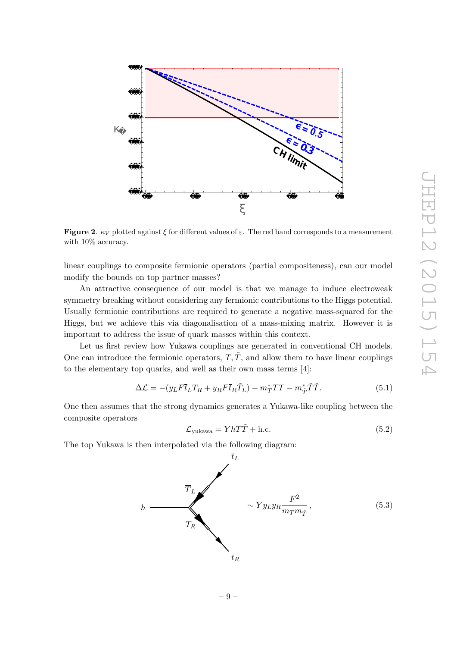<span id="page-10-1"></span><span id="page-10-0"></span>

**Figure 2**.  $\kappa_V$  plotted against  $\xi$  for different values of  $\varepsilon$ . The red band corresponds to a measurement with  $10\%$  accuracy.

linear couplings to composite fermionic operators (partial compositeness), can our model modify the bounds on top partner masses?

An attractive consequence of our model is that we manage to induce electroweak symmetry breaking without considering any fermionic contributions to the Higgs potential. Usually fermionic contributions are required to generate a negative mass-squared for the Higgs, but we achieve this via diagonalisation of a mass-mixing matrix. However it is important to address the issue of quark masses within this context.

Let us first review how Yukawa couplings are generated in conventional CH models. One can introduce the fermionic operators,  $T, \tilde{T}$ , and allow them to have linear couplings to the elementary top quarks, and well as their own mass terms [ [4\]](#page-15-3):

$$
\Delta \mathcal{L} = -(y_L F \overline{t}_L T_R + y_R F \overline{t}_R \tilde{T}_L) - m_T^* \overline{T} T - m_{\tilde{T}}^* \overline{\tilde{T}} \tilde{T}.
$$
\n(5.1)

One then assumes that the strong dynamics generates a Yukawa-like coupling between the composite operators

$$
\mathcal{L}_{\text{yukawa}} = Yh\overline{T}\tilde{T} + \text{h.c.} \tag{5.2}
$$

The top Yukawa is then interpolated via the following diagram:

<span id="page-10-2"></span>

– 9 –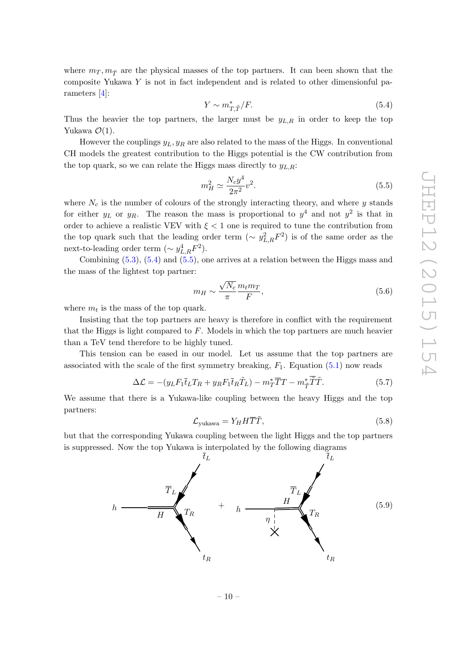where  $m_T, m_{\tilde{T}}$  are the physical masses of the top partners. It can been shown that the composite Yukawa Y is not in fact independent and is related to other dimensionful parameters [\[4\]](#page-15-3):

$$
Y \sim m_{T,\tilde{T}}^* / F. \tag{5.4}
$$

Thus the heavier the top partners, the larger must be  $y_{L,R}$  in order to keep the top Yukawa  $\mathcal{O}(1)$ .

However the couplings  $y_L, y_R$  are also related to the mass of the Higgs. In conventional CH models the greatest contribution to the Higgs potential is the CW contribution from the top quark, so we can relate the Higgs mass directly to  $y_{L,R}$ :

$$
m_H^2 \simeq \frac{N_c y^4}{2\pi^2} v^2.
$$
\n(5.5)

where  $N_c$  is the number of colours of the strongly interacting theory, and where  $y$  stands for either  $y_L$  or  $y_R$ . The reason the mass is proportional to  $y^4$  and not  $y^2$  is that in order to achieve a realistic VEV with  $\xi < 1$  one is required to tune the contribution from the top quark such that the leading order term  $(\sim y_{L,R}^2 F^2)$  is of the same order as the next-to-leading order term  $(\sim y_{L,R}^4 F^2)$ .

Combining [\(5.3\)](#page-9-1), [\(5.4\)](#page-10-0) and [\(5.5\)](#page-10-1), one arrives at a relation between the Higgs mass and the mass of the lightest top partner:

<span id="page-11-1"></span>
$$
m_H \sim \frac{\sqrt{N_c}}{\pi} \frac{m_t m_T}{F},\tag{5.6}
$$

where  $m_t$  is the mass of the top quark.

Insisting that the top partners are heavy is therefore in conflict with the requirement that the Higgs is light compared to F. Models in which the top partners are much heavier than a TeV tend therefore to be highly tuned.

This tension can be eased in our model. Let us assume that the top partners are associated with the scale of the first symmetry breaking,  $F_1$ . Equation  $(5.1)$  now reads

$$
\Delta \mathcal{L} = -(y_L F_1 \overline{t}_L T_R + y_R F_1 \overline{t}_R \tilde{T}_L) - m_T^* \overline{T} T - m_{\tilde{T}}^* \tilde{T} \tilde{T}.
$$
\n(5.7)

We assume that there is a Yukawa-like coupling between the heavy Higgs and the top partners:

$$
\mathcal{L}_{\text{yukawa}} = Y_H H \overline{T} \tilde{T}, \tag{5.8}
$$

but that the corresponding Yukawa coupling between the light Higgs and the top partners is suppressed. Now the top Yukawa is interpolated by the following diagrams

<span id="page-11-0"></span>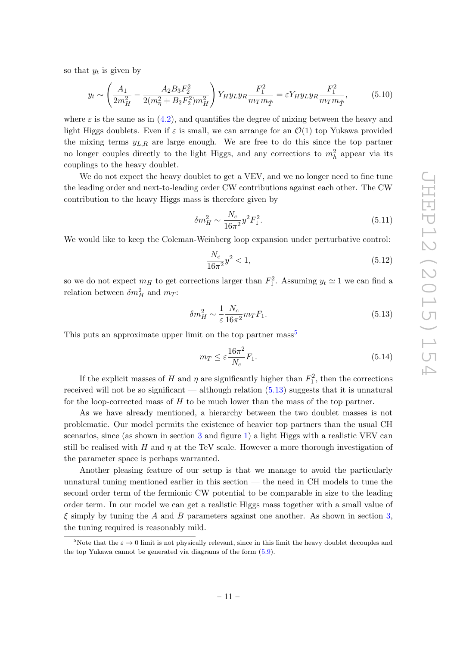<span id="page-12-0"></span>so that  $y_t$  is given by

$$
y_t \sim \left(\frac{A_1}{2m_H^2} - \frac{A_2 B_3 F_2^2}{2(m_\eta^2 + B_2 F_2^2) m_H^2}\right) Y_H y_L y_R \frac{F_1^2}{m_T m_{\tilde{T}}} = \varepsilon Y_H y_L y_R \frac{F_1^2}{m_T m_{\tilde{T}}},\tag{5.10}
$$

where  $\varepsilon$  is the same as in  $(4.2)$ , and quantifies the degree of mixing between the heavy and light Higgs doublets. Even if  $\varepsilon$  is small, we can arrange for an  $\mathcal{O}(1)$  top Yukawa provided the mixing terms  $y_{L,R}$  are large enough. We are free to do this since the top partner no longer couples directly to the light Higgs, and any corrections to  $m_h^2$  appear via its couplings to the heavy doublet.

We do not expect the heavy doublet to get a VEV, and we no longer need to fine tune the leading order and next-to-leading order CW contributions against each other. The CW contribution to the heavy Higgs mass is therefore given by

$$
\delta m_H^2 \sim \frac{N_c}{16\pi^2} y^2 F_1^2. \tag{5.11}
$$

We would like to keep the Coleman-Weinberg loop expansion under perturbative control:

$$
\frac{N_c}{16\pi^2}y^2 < 1,\tag{5.12}
$$

so we do not expect  $m_H$  to get corrections larger than  $F_1^2$ . Assuming  $y_t \simeq 1$  we can find a relation between  $\delta m_H^2$  and  $m_T$ :

$$
\delta m_H^2 \sim \frac{1}{\varepsilon} \frac{N_c}{16\pi^2} m_T F_1. \tag{5.13}
$$

This puts an approximate upper limit on the top partner mass<sup>[5](#page-11-0)</sup>

$$
m_T \le \varepsilon \frac{16\pi^2}{N_c} F_1. \tag{5.14}
$$

If the explicit masses of H and  $\eta$  are significantly higher than  $F_1^2$ , then the corrections received will not be so significant — although relation [\(5.13\)](#page-11-1) suggests that it is unnatural for the loop-corrected mass of  $H$  to be much lower than the mass of the top partner.

<span id="page-12-1"></span>As we have already mentioned, a hierarchy between the two doublet masses is not problematic. Our model permits the existence of heavier top partners than the usual CH scenarios, since (as shown in section [3](#page-4-0) and figure [1\)](#page-7-1) a light Higgs with a realistic VEV can still be realised with H and  $\eta$  at the TeV scale. However a more thorough investigation of the parameter space is perhaps warranted.

<span id="page-12-2"></span>Another pleasing feature of our setup is that we manage to avoid the particularly unnatural tuning mentioned earlier in this section — the need in CH models to tune the second order term of the fermionic CW potential to be comparable in size to the leading order term. In our model we can get a realistic Higgs mass together with a small value of  $\xi$  simply by tuning the A and B parameters against one another. As shown in section [3,](#page-4-0) the tuning required is reasonably mild.

<sup>&</sup>lt;sup>5</sup>Note that the  $\varepsilon \to 0$  limit is not physically relevant, since in this limit the heavy doublet decouples and the top Yukawa cannot be generated via diagrams of the form [\(5.9\)](#page-10-2).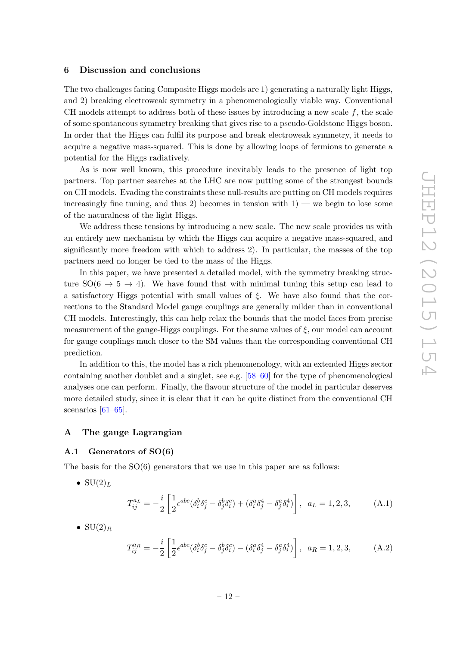#### 6 Discussion and conclusions

The two challenges facing Composite Higgs models are 1) generating a naturally light Higgs, and 2) breaking electroweak symmetry in a phenomenologically viable way. Conventional CH models attempt to address both of these issues by introducing a new scale  $f$ , the scale of some spontaneous symmetry breaking that gives rise to a pseudo-Goldstone Higgs boson. In order that the Higgs can fulfil its purpose and break electroweak symmetry, it needs to acquire a negative mass-squared. This is done by allowing loops of fermions to generate a potential for the Higgs radiatively.

As is now well known, this procedure inevitably leads to the presence of light top partners. Top partner searches at the LHC are now putting some of the strongest bounds on CH models. Evading the constraints these null-results are putting on CH models requires increasingly fine tuning, and thus 2) becomes in tension with  $1$ ) — we begin to lose some of the naturalness of the light Higgs.

<span id="page-13-0"></span>We address these tensions by introducing a new scale. The new scale provides us with an entirely new mechanism by which the Higgs can acquire a negative mass-squared, and significantly more freedom with which to address 2). In particular, the masses of the top partners need no longer be tied to the mass of the Higgs.

In this paper, we have presented a detailed model, with the symmetry breaking structure  $SO(6 \rightarrow 5 \rightarrow 4)$ . We have found that with minimal tuning this setup can lead to a satisfactory Higgs potential with small values of ξ. We have also found that the corrections to the Standard Model gauge couplings are generally milder than in conventional CH models. Interestingly, this can help relax the bounds that the model faces from precise measurement of the gauge-Higgs couplings. For the same values of  $\xi,$  our model can account for gauge couplings much closer to the SM values than the corresponding conventional CH prediction.

In addition to this, the model has a rich phenomenology, with an extended Higgs sector containing another doublet and a singlet, see e.g. [\[58](#page-18-1) [–60\]](#page-18-2) for the type of phenomenological analyses one can perform. Finally, the flavour structure of the model in particular deserves more detailed study, since it is clear that it can be quite distinct from the conventional CH scenarios [\[61](#page-18-3) [–65\]](#page-18-4).

#### A The gauge Lagrangian

#### A.1 Generators of SO(6)

The basis for the  $SO(6)$  generators that we use in this paper are as follows:

•  $SU(2)<sub>L</sub>$ 

$$
T_{ij}^{a_L} = -\frac{i}{2} \left[ \frac{1}{2} \epsilon^{abc} (\delta_i^b \delta_j^c - \delta_j^b \delta_i^c) + (\delta_i^a \delta_j^4 - \delta_j^a \delta_i^4) \right], \ \ a_L = 1, 2, 3,
$$
 (A.1)

 $\bullet$  SU(2)<sub>R</sub>

$$
T_{ij}^{a_R} = -\frac{i}{2} \left[ \frac{1}{2} \epsilon^{abc} (\delta_i^b \delta_j^c - \delta_j^b \delta_i^c) - (\delta_i^a \delta_j^4 - \delta_j^a \delta_i^4) \right], \quad a_R = 1, 2, 3,
$$
 (A.2)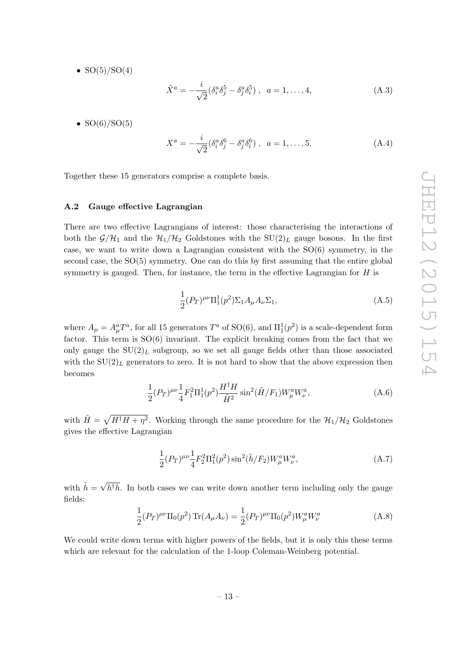<span id="page-14-0"></span>•  $SO(5)/SO(4)$ 

$$
\tilde{X}^{a} = -\frac{i}{\sqrt{2}} (\delta_{i}^{a} \delta_{j}^{5} - \delta_{j}^{a} \delta_{i}^{5}), \ \ a = 1, ..., 4,
$$
\n(A.3)

•  $SO(6)/SO(5)$ 

$$
X^{a} = -\frac{i}{\sqrt{2}} (\delta_{i}^{a} \delta_{j}^{6} - \delta_{j}^{a} \delta_{i}^{6}), \ \ a = 1, \dots, 5.
$$
 (A.4)

Together these 15 generators comprise a complete basis.

#### A.2 Gauge effective Lagrangian

There are two effective Lagrangians of interest: those characterising the interactions of both the  $\mathcal{G}/\mathcal{H}_1$  and the  $\mathcal{H}_1/\mathcal{H}_2$  Goldstones with the  $SU(2)_L$  gauge bosons. In the first case, we want to write down a Lagrangian consistent with the SO(6) symmetry, in the second case, the SO(5) symmetry. One can do this by first assuming that the entire global symmetry is gauged. Then, for instance, the term in the effective Lagrangian for  $H$  is

$$
\frac{1}{2}(P_T)^{\mu\nu}\Pi_1^1(p^2)\Sigma_1 A_\mu A_\nu \Sigma_1,
$$
\n(A.5)

where  $A_{\mu} = A_{\mu}^{a} T^{a}$ , for all 15 generators  $T^{a}$  of SO(6), and  $\Pi_1^1(p^2)$  is a scale-dependent form factor. This term is  $SO(6)$  invariant. The explicit breaking comes from the fact that we only gauge the  $SU(2)_L$  subgroup, so we set all gauge fields other than those associated with the  $SU(2)_L$  generators to zero. It is not hard to show that the above expression then becomes

$$
\frac{1}{2}(P_T)^{\mu\nu}\frac{1}{4}F_1^2\Pi_1^1(p^2)\frac{H^{\dagger}H}{\tilde{H}^2}\sin^2(\tilde{H}/F_1)W^a_{\mu}W^a_{\nu},\tag{A.6}
$$

with  $\tilde{H} = \sqrt{H^{\dagger}H + \eta^2}$ . Working through the same procedure for the  $\mathcal{H}_1/\mathcal{H}_2$  Goldstones gives the effective Lagrangian

$$
\frac{1}{2}(P_T)^{\mu\nu}\frac{1}{4}F_2^2\Pi_1^2(p^2)\sin^2(\tilde{h}/F_2)W_\mu^aW_\nu^a,
$$
\n(A.7)

with  $\tilde{h} = \sqrt{h^{\dagger}h}$ . In both cases we can write down another term including only the gauge fields:

$$
\frac{1}{2}(P_T)^{\mu\nu}\Pi_0(p^2)\operatorname{Tr}(A_\mu A_\nu) = \frac{1}{2}(P_T)^{\mu\nu}\Pi_0(p^2)W_\mu^aW_\nu^a
$$
\n(A.8)

We could write down terms with higher powers of the fields, but it is only this these terms which are relevant for the calculation of the 1-loop Coleman-Weinberg potential.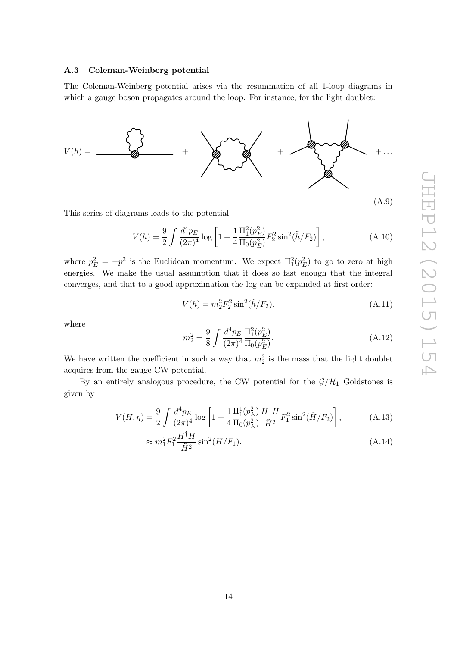#### A.3 Coleman-Weinberg potential

The Coleman-Weinberg potential arises via the resummation of all 1-loop diagrams in which a gauge boson propagates around the loop. For instance, for the light doublet:

<span id="page-15-1"></span><span id="page-15-0"></span>

<span id="page-15-4"></span><span id="page-15-3"></span><span id="page-15-2"></span>This series of diagrams leads to the potential

$$
V(h) = \frac{9}{2} \int \frac{d^4 p_E}{(2\pi)^4} \log \left[ 1 + \frac{1}{4} \frac{\Pi_1^2(p_E^2)}{\Pi_0(p_E^2)} F_2^2 \sin^2(\tilde{h}/F_2) \right],
$$
 (A.10)

<span id="page-15-5"></span>where  $p_E^2 = -p^2$  is the Euclidean momentum. We expect  $\Pi_1^2(p_E^2)$  to go to zero at high energies. We make the usual assumption that it does so fast enough that the integral converges, and that to a good approximation the log can be expanded at first order:

$$
V(h) = m_2^2 F_2^2 \sin^2(\tilde{h}/F_2), \tag{A.11}
$$

<span id="page-15-7"></span><span id="page-15-6"></span>where

$$
m_2^2 = \frac{9}{8} \int \frac{d^4 p_E}{(2\pi)^4} \frac{\Pi_1^2(p_E^2)}{\Pi_0(p_E^2)}.
$$
 (A.12)

<span id="page-15-8"></span>We have written the coefficient in such a way that  $m_2^2$  is the mass that the light doublet acquires from the gauge CW potential.

By an entirely analogous procedure, the CW potential for the  $\mathcal{G}/\mathcal{H}_1$  Goldstones is given by

$$
V(H,\eta) = \frac{9}{2} \int \frac{d^4 p_E}{(2\pi)^4} \log \left[ 1 + \frac{1}{4} \frac{\Pi_1^1(p_E^2)}{\Pi_0(p_E^2)} \frac{H^\dagger H}{\tilde{H}^2} F_1^2 \sin^2(\tilde{H}/F_2) \right],\tag{A.13}
$$

$$
\approx m_1^2 F_1^2 \frac{H^{\dagger} H}{\tilde{H}^2} \sin^2(\tilde{H}/F_1). \tag{A.14}
$$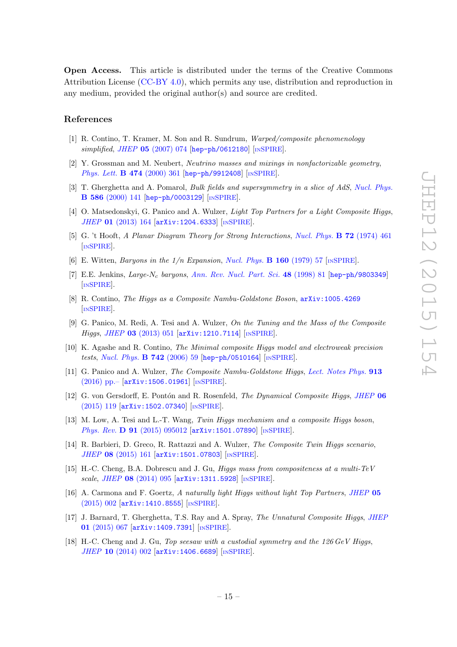Open Access. This article is distributed under the terms of the Creative Commons Attribution License [\(CC-BY 4.0\)](http://creativecommons.org/licenses/by/4.0/), which permits any use, distribution and reproduction in any medium, provided the original author(s) and source are credited.

#### <span id="page-16-0"></span>References

- <span id="page-16-1"></span>[1] R. Contino, T. Kramer, M. Son and R. Sundrum, Warped/composite phenomenology  $simplified, JHEP$  05 [\(2007\) 074](http://dx.doi.org/10.1088/1126-6708/2007/05/074) [[hep-ph/0612180](http://arxiv.org/abs/hep-ph/0612180)] [IN[SPIRE](http://inspirehep.net/search?p=find+EPRINT+hep-ph/0612180)].
- [2] Y. Grossman and M. Neubert, Neutrino masses and mixings in nonfactorizable geometry , [Phys. Lett.](http://dx.doi.org/10.1016/S0370-2693(00)00054-X) **B 474** (2000) 361 [[hep-ph/9912408](http://arxiv.org/abs/hep-ph/9912408)] [IN[SPIRE](http://inspirehep.net/search?p=find+EPRINT+hep-ph/9912408)].
- [3] T. Gherghetta and A. Pomarol, *Bulk fields and supersymmetry in a slice of AdS*, *[Nucl. Phys.](http://dx.doi.org/10.1016/S0550-3213(00)00392-8)* B 586 [\(2000\) 141](http://dx.doi.org/10.1016/S0550-3213(00)00392-8) [[hep-ph/0003129](http://arxiv.org/abs/hep-ph/0003129)] [IN[SPIRE](http://inspirehep.net/search?p=find+EPRINT+hep-ph/0003129)].
- [4] O. Matsedonskyi, G. Panico and A. Wulzer, *Light Top Partners for a Light Composite Higgs*, JHEP 01 [\(2013\) 164](http://dx.doi.org/10.1007/JHEP01(2013)164) [[arXiv:1204.6333](http://arxiv.org/abs/1204.6333)] [IN[SPIRE](http://inspirehep.net/search?p=find+EPRINT+arXiv:1204.6333)].
- [5] G. 't Hooft, A Planar Diagram Theory for Strong Interactions, [Nucl. Phys.](http://dx.doi.org/10.1016/0550-3213(74)90154-0) **B 72** (1974) 461 [IN[SPIRE](http://inspirehep.net/search?p=find+J+"Nucl.Phys.,B72,461")].
- [6] E. Witten, *Baryons in the*  $1/n$  *Expansion*, *[Nucl. Phys.](http://dx.doi.org/10.1016/0550-3213(79)90232-3)* **B 160** (1979) 57 [IN[SPIRE](http://inspirehep.net/search?p=find+J+"Nucl.Phys.,B160,57")].
- [7] E.E. Jenkins, Large-N<sub>c</sub> baryons, [Ann. Rev. Nucl. Part. Sci.](http://dx.doi.org/10.1146/annurev.nucl.48.1.81) 48 (1998) 81 [[hep-ph/9803349](http://arxiv.org/abs/hep-ph/9803349)] [IN[SPIRE](http://inspirehep.net/search?p=find+EPRINT+hep-ph/9803349)].
- [8] R. Contino, The Higgs as a Composite Nambu-Goldstone Boson , [arXiv:1005.4269](http://arxiv.org/abs/1005.4269) [IN[SPIRE](http://inspirehep.net/search?p=find+EPRINT+arXiv:1005.4269)].
- [9] G. Panico, M. Redi, A. Tesi and A. Wulzer, On the Tuning and the Mass of the Composite Higgs, JHEP 03 [\(2013\) 051](http://dx.doi.org/10.1007/JHEP03(2013)051) [[arXiv:1210.7114](http://arxiv.org/abs/1210.7114)] [IN[SPIRE](http://inspirehep.net/search?p=find+EPRINT+arXiv:1210.7114)].
- [10] K. Agashe and R. Contino, The Minimal composite Higgs model and electroweak precision tests, [Nucl. Phys.](http://dx.doi.org/10.1016/j.nuclphysb.2006.02.011) **B 742** (2006) 59 [[hep-ph/0510164](http://arxiv.org/abs/hep-ph/0510164)] [IN[SPIRE](http://inspirehep.net/search?p=find+EPRINT+hep-ph/0510164)].
- [11] G. Panico and A. Wulzer, The Composite Nambu-Goldstone Higgs, [Lect. Notes Phys.](http://dx.doi.org/10.1007/978-3-319-22617-0) 913 [\(2016\) pp.–](http://dx.doi.org/10.1007/978-3-319-22617-0) [[arXiv:1506.01961](http://arxiv.org/abs/1506.01961)] [IN[SPIRE](http://inspirehep.net/search?p=find+EPRINT+arXiv:1506.01961)].
- [12] G. von Gersdorff, E. Pontón and R. Rosenfeld, *The Dynamical Composite Higgs, [JHEP](http://dx.doi.org/10.1007/JHEP06(2015)119)* 06 [\(2015\) 119](http://dx.doi.org/10.1007/JHEP06(2015)119) [[arXiv:1502.07340](http://arxiv.org/abs/1502.07340)] [IN[SPIRE](http://inspirehep.net/search?p=find+J+"JHEP,1506,119")].
- [13] M. Low, A. Tesi and L.-T. Wang, Twin Higgs mechanism and a composite Higgs boson, *Phys. Rev.* **D 91** [\(2015\) 095012](http://dx.doi.org/10.1103/PhysRevD.91.095012)  $[$ [arXiv:1501.07890](http://arxiv.org/abs/1501.07890)]  $[$ IN[SPIRE](http://inspirehep.net/search?p=find+J+"Phys.Rev.,D91,095012")].
- <span id="page-16-2"></span>[14] R. Barbieri, D. Greco, R. Rattazzi and A. Wulzer, *The Composite Twin Higgs scenario*, JHEP 08 [\(2015\) 161](http://dx.doi.org/10.1007/JHEP08(2015)161) [[arXiv:1501.07803](http://arxiv.org/abs/1501.07803)] [IN[SPIRE](http://inspirehep.net/search?p=find+EPRINT+arXiv:1501.07803)].
- <span id="page-16-3"></span>[15] H.-C. Cheng, B.A. Dobrescu and J. Gu, Higgs mass from compositeness at a multi-TeV scale , JHEP 08 [\(2014\) 095](http://dx.doi.org/10.1007/JHEP08(2014)095) [[arXiv:1311.5928](http://arxiv.org/abs/1311.5928)] [IN[SPIRE](http://inspirehep.net/search?p=find+EPRINT+arXiv:1311.5928)].
- [16] A. Carmona and F. Goertz, A naturally light Higgs without light Top Partners, [JHEP](http://dx.doi.org/10.1007/JHEP05(2015)002) 05 [\(2015\) 002](http://dx.doi.org/10.1007/JHEP05(2015)002) [[arXiv:1410.8555](http://arxiv.org/abs/1410.8555)] [IN[SPIRE](http://inspirehep.net/search?p=find+EPRINT+arXiv:1410.8555)].
- [17] J. Barnard, T. Gherghetta, T.S. Ray and A. Spray, *The Unnatural Composite Higgs, [JHEP](http://dx.doi.org/10.1007/JHEP01(2015)067)* 01 [\(2015\) 067](http://dx.doi.org/10.1007/JHEP01(2015)067) [[arXiv:1409.7391](http://arxiv.org/abs/1409.7391)] [IN[SPIRE](http://inspirehep.net/search?p=find+EPRINT+arXiv:1409.7391)].
- [18] H.-C. Cheng and J. Gu, Top seesaw with a custodial symmetry and the 126 GeV Higgs, JHEP 10 [\(2014\) 002](http://dx.doi.org/10.1007/JHEP10(2014)002) [[arXiv:1406.6689](http://arxiv.org/abs/1406.6689)] [IN[SPIRE](http://inspirehep.net/search?p=find+EPRINT+arXiv:1406.6689)].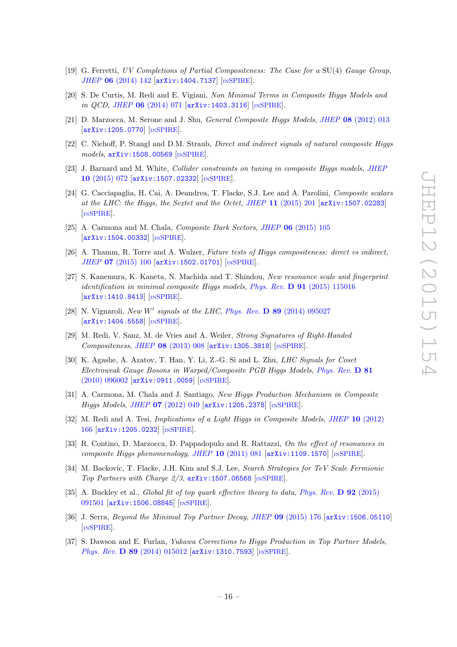- [19] G. Ferretti, UV Completions of Partial Compositeness: The Case for a SU(4) Gauge Group , JHEP 06 [\(2014\) 142](http://dx.doi.org/10.1007/JHEP06(2014)142) [[arXiv:1404.7137](http://arxiv.org/abs/1404.7137)] [IN[SPIRE](http://inspirehep.net/search?p=find+EPRINT+arXiv:1404.7137)].
- [20] S. De Curtis, M. Redi and E. Vigiani, Non Minimal Terms in Composite Higgs Models and  $\left| \text{in QCD, JHEP 06 (2014) 071 [arXiv:1403.3116] }\right|$  $\left| \text{in QCD, JHEP 06 (2014) 071 [arXiv:1403.3116] }\right|$  $\left| \text{in QCD, JHEP 06 (2014) 071 [arXiv:1403.3116] }\right|$  $\left| \text{in QCD, JHEP 06 (2014) 071 [arXiv:1403.3116] }\right|$  $\left| \text{in QCD, JHEP 06 (2014) 071 [arXiv:1403.3116] }\right|$  [IN[SPIRE](http://inspirehep.net/search?p=find+EPRINT+arXiv:1403.3116)].
- [21] D. Marzocca, M. Serone and J. Shu, *General Composite Higgs Models, JHEP* 08 [\(2012\) 013](http://dx.doi.org/10.1007/JHEP08(2012)013) [[arXiv:1205.0770](http://arxiv.org/abs/1205.0770)] [IN[SPIRE](http://inspirehep.net/search?p=find+EPRINT+arXiv:1205.0770)].
- [22] C. Niehoff, P. Stangl and D.M. Straub, Direct and indirect signals of natural composite Higgs models , [arXiv:1508.00569](http://arxiv.org/abs/1508.00569) [IN[SPIRE](http://inspirehep.net/search?p=find+EPRINT+arXiv:1508.00569)].
- [23] J. Barnard and M. White, Collider constraints on tuning in composite Higgs models, JHEF 10 [\(2015\) 072](http://dx.doi.org/10.1007/JHEP10(2015)072) [[arXiv:1507.02332](http://arxiv.org/abs/1507.02332)] [IN[SPIRE](http://inspirehep.net/search?p=find+EPRINT+arXiv:1507.02332)].
- [24] G. Cacciapaglia, H. Cai, A. Deandrea, T. Flacke, S.J. Lee and A. Parolini, Composite scalars at the LHC: the Higgs, the Sextet and the Octet, JHEP 11  $(2015)$  201  $[\text{arXiv}:1507.02283]$ [IN[SPIRE](http://inspirehep.net/search?p=find+EPRINT+arXiv:1507.02283)].
- [25] A. Carmona and M. Chala, *Composite Dark Sectors*, *JHEP* **06** [\(2015\) 105](http://dx.doi.org/10.1007/JHEP06(2015)105) [[arXiv:1504.00332](http://arxiv.org/abs/1504.00332)] [IN[SPIRE](http://inspirehep.net/search?p=find+J+"JHEP,1506,105")].
- [26] A. Thamm, R. Torre and A. Wulzer, Future tests of Higgs compositeness: direct vs indirect, JHEP 07 [\(2015\) 100](http://dx.doi.org/10.1007/JHEP07(2015)100) [[arXiv:1502.01701](http://arxiv.org/abs/1502.01701)] [IN[SPIRE](http://inspirehep.net/search?p=find+J+"JHEP,1507,100")].
- [27] S. Kanemura, K. Kaneta, N. Machida and T. Shindou, New resonance scale and fingerprint identification in minimal composite Higgs models, Phys. Rev.  $\bf{D}$  91 [\(2015\) 115016](http://dx.doi.org/10.1103/PhysRevD.91.115016) [[arXiv:1410.8413](http://arxiv.org/abs/1410.8413)] [IN[SPIRE](http://inspirehep.net/search?p=find+EPRINT+arXiv:1410.8413)].
- [28] N. Vignaroli, New W' signals at the LHC, Phys. Rev.  $\bf{D}$  89 [\(2014\) 095027](http://dx.doi.org/10.1103/PhysRevD.89.095027) [[arXiv:1404.5558](http://arxiv.org/abs/1404.5558)] [IN[SPIRE](http://inspirehep.net/search?p=find+EPRINT+arXiv:1404.5558)].
- [29] M. Redi, V. Sanz, M. de Vries and A. Weiler, Strong Signatures of Right-Handed Compositeness, JHEP 08 [\(2013\) 008](http://dx.doi.org/10.1007/JHEP08(2013)008) [[arXiv:1305.3818](http://arxiv.org/abs/1305.3818)] [IN[SPIRE](http://inspirehep.net/search?p=find+EPRINT+arXiv:1305.3818)].
- <span id="page-17-0"></span>[30] K. Agashe, A. Azatov, T. Han, Y. Li, Z.-G. Si and L. Zhu, *LHC Signals for Coset* Electroweak Gauge Bosons in Warped/Composite PGB Higgs Models, [Phys. Rev.](http://dx.doi.org/10.1103/PhysRevD.81.096002) D 81 [\(2010\) 096002](http://dx.doi.org/10.1103/PhysRevD.81.096002) [[arXiv:0911.0059](http://arxiv.org/abs/0911.0059)] [IN[SPIRE](http://inspirehep.net/search?p=find+EPRINT+arXiv:0911.0059)].
- <span id="page-17-1"></span>[31] A. Carmona, M. Chala and J. Santiago, New Higgs Production Mechanism in Composite Higgs Models, JHEP 07 [\(2012\) 049](http://dx.doi.org/10.1007/JHEP07(2012)049) [[arXiv:1205.2378](http://arxiv.org/abs/1205.2378)] [IN[SPIRE](http://inspirehep.net/search?p=find+EPRINT+arXiv:1205.2378)].
- <span id="page-17-5"></span>[32] M. Redi and A. Tesi, *Implications of a Light Higgs in Composite Models*, *JHEP* 10 [\(2012\)](http://dx.doi.org/10.1007/JHEP10(2012)166) [166](http://dx.doi.org/10.1007/JHEP10(2012)166) [[arXiv:1205.0232](http://arxiv.org/abs/1205.0232)] [IN[SPIRE](http://inspirehep.net/search?p=find+EPRINT+arXiv:1205.0232)].
- <span id="page-17-2"></span>[33] R. Contino, D. Marzocca, D. Pappadopulo and R. Rattazzi, On the effect of resonances in composite Higgs phenomenology, JHEP  $10$  [\(2011\) 081](http://dx.doi.org/10.1007/JHEP10(2011)081) [[arXiv:1109.1570](http://arxiv.org/abs/1109.1570)] [IN[SPIRE](http://inspirehep.net/search?p=find+EPRINT+arXiv:1109.1570)].
- <span id="page-17-3"></span>[34] M. Backovic, T. Flacke, J.H. Kim and S.J. Lee, Search Strategies for TeV Scale Fermionic Top Partners with Charge  $2/3$ ,  $arXiv:1507.06568$  [IN[SPIRE](http://inspirehep.net/search?p=find+EPRINT+arXiv:1507.06568)].
- <span id="page-17-4"></span>[35] A. Buckley et al., *Global fit of top quark effective theory to data, [Phys. Rev.](http://dx.doi.org/10.1103/PhysRevD.92.091501)* **D** 92 (2015) [091501](http://dx.doi.org/10.1103/PhysRevD.92.091501) [[arXiv:1506.08845](http://arxiv.org/abs/1506.08845)] [IN[SPIRE](http://inspirehep.net/search?p=find+EPRINT+arXiv:1506.08845)].
- <span id="page-17-6"></span>[36] J. Serra, *Beyond the Minimal Top Partner Decay, JHEP* 09 [\(2015\) 176](http://dx.doi.org/10.1007/JHEP09(2015)176) [[arXiv:1506.05110](http://arxiv.org/abs/1506.05110)] [IN[SPIRE](http://inspirehep.net/search?p=find+EPRINT+arXiv:1506.05110)].
- <span id="page-17-7"></span>[37] S. Dawson and E. Furlan, Yukawa Corrections to Higgs Production in Top Partner Models, Phys. Rev. D 89 [\(2014\) 015012](http://dx.doi.org/10.1103/PhysRevD.89.015012) [[arXiv:1310.7593](http://arxiv.org/abs/1310.7593)] [IN[SPIRE](http://inspirehep.net/search?p=find+EPRINT+arXiv:1310.7593)].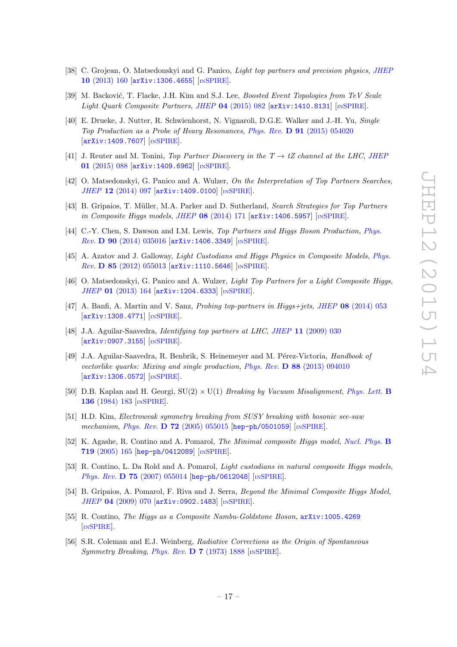- <span id="page-18-0"></span>[38] C. Grojean, O. Matsedonskyi and G. Panico, Light top partners and precision physics, JHEF 10 [\(2013\) 160](http://dx.doi.org/10.1007/JHEP10(2013)160) [[arXiv:1306.4655](http://arxiv.org/abs/1306.4655)] [IN[SPIRE](http://inspirehep.net/search?p=find+EPRINT+arXiv:1306.4655)].
- <span id="page-18-1"></span>[39] M. Backović, T. Flacke, J.H. Kim and S.J. Lee, Boosted Event Topologies from TeV Scale Light Quark Composite Partners, JHEP 04 [\(2015\) 082](http://dx.doi.org/10.1007/JHEP04(2015)082) [[arXiv:1410.8131](http://arxiv.org/abs/1410.8131)] [IN[SPIRE](http://inspirehep.net/search?p=find+EPRINT+arXiv:1410.8131)].
- <span id="page-18-2"></span>[40] E. Drueke, J. Nutter, R. Schwienhorst, N. Vignaroli, D.G.E. Walker and J.-H. Yu, Single Top Production as a Probe of Heavy Resonances , Phys. Rev. D 91 [\(2015\) 054020](http://dx.doi.org/10.1103/PhysRevD.91.054020) [[arXiv:1409.7607](http://arxiv.org/abs/1409.7607)] [IN[SPIRE](http://inspirehep.net/search?p=find+EPRINT+arXiv:1409.7607)].
- <span id="page-18-3"></span>[41] J. Reuter and M. Tonini, Top Partner Discovery in the  $T \to tZ$  channel at the LHC, [JHEP](http://dx.doi.org/10.1007/JHEP01(2015)088) 01 [\(2015\) 088](http://dx.doi.org/10.1007/JHEP01(2015)088) [[arXiv:1409.6962](http://arxiv.org/abs/1409.6962)] [IN[SPIRE](http://inspirehep.net/search?p=find+EPRINT+arXiv:1409.6962)].
- [42] O. Matsedonskyi, G. Panico and A. Wulzer, On the Interpretation of Top Partners Searches, JHEP 12 [\(2014\) 097](http://dx.doi.org/10.1007/JHEP12(2014)097) [[arXiv:1409.0100](http://arxiv.org/abs/1409.0100)] [IN[SPIRE](http://inspirehep.net/search?p=find+EPRINT+arXiv:1409.0100)].
- [43] B. Gripaios, T. Müller, M.A. Parker and D. Sutherland, Search Strategies for Top Partners in Composite Higgs models, JHEP 08 [\(2014\) 171](http://dx.doi.org/10.1007/JHEP08(2014)171) [[arXiv:1406.5957](http://arxiv.org/abs/1406.5957)] [IN[SPIRE](http://inspirehep.net/search?p=find+EPRINT+arXiv:1406.5957)].
- [44] C.-Y. Chen, S. Dawson and I.M. Lewis, Top Partners and Higgs Boson Production, [Phys.](http://dx.doi.org/10.1103/PhysRevD.90.035016) Rev. D 90 [\(2014\) 035016](http://dx.doi.org/10.1103/PhysRevD.90.035016) [[arXiv:1406.3349](http://arxiv.org/abs/1406.3349)] [IN[SPIRE](http://inspirehep.net/search?p=find+EPRINT+arXiv:1406.3349)].
- <span id="page-18-4"></span>[45] A. Azatov and J. Galloway, *Light Custodians and Higgs Physics in Composite Models*, *[Phys.](http://dx.doi.org/10.1103/PhysRevD.85.055013)* Rev. D 85 [\(2012\) 055013](http://dx.doi.org/10.1103/PhysRevD.85.055013) [[arXiv:1110.5646](http://arxiv.org/abs/1110.5646)] [IN[SPIRE](http://inspirehep.net/search?p=find+EPRINT+arXiv:1110.5646)].
- [46] O. Matsedonskyi, G. Panico and A. Wulzer, *Light Top Partners for a Light Composite Higgs*, JHEP 01 [\(2013\) 164](http://dx.doi.org/10.1007/JHEP01(2013)164) [[arXiv:1204.6333](http://arxiv.org/abs/1204.6333)] [IN[SPIRE](http://inspirehep.net/search?p=find+EPRINT+arXiv:1204.6333)].
- [47] A. Banfi, A. Martin and V. Sanz, *Probing top-partners in Higgs+jets*, *JHEP* 08 [\(2014\) 053](http://dx.doi.org/10.1007/JHEP08(2014)053) [[arXiv:1308.4771](http://arxiv.org/abs/1308.4771)] [IN[SPIRE](http://inspirehep.net/search?p=find+EPRINT+arXiv:1308.4771)].
- [48] J.A. Aguilar-Saavedra, *Identifying top partners at LHC*, *JHEP* 11 [\(2009\) 030](http://dx.doi.org/10.1088/1126-6708/2009/11/030) [[arXiv:0907.3155](http://arxiv.org/abs/0907.3155)] [IN[SPIRE](http://inspirehep.net/search?p=find+EPRINT+arXiv:0907.3155)].
- [49] J.A. Aguilar-Saavedra, R. Benbrik, S. Heinemeyer and M. Pérez-Victoria, Handbook of vectorlike quarks: Mixing and single production, Phys. Rev. **D 88** [\(2013\) 094010](http://dx.doi.org/10.1103/PhysRevD.88.094010)  $\begin{bmatrix} \texttt{arXiv:1306.0572} \end{bmatrix}$  $\begin{bmatrix} \texttt{arXiv:1306.0572} \end{bmatrix}$  $\begin{bmatrix} \texttt{arXiv:1306.0572} \end{bmatrix}$  [IN[SPIRE](http://inspirehep.net/search?p=find+EPRINT+arXiv:1306.0572)].
- [50] D.B. Kaplan and H. Georgi,  $SU(2) \times U(1)$  *Breaking by Vacuum Misalignment, [Phys. Lett.](http://dx.doi.org/10.1016/0370-2693(84)91177-8)* **B** 136 [\(1984\) 183](http://dx.doi.org/10.1016/0370-2693(84)91177-8) [IN[SPIRE](http://inspirehep.net/search?p=find+J+"Phys.Lett.,B136,183")].
- [51] H.D. Kim, Electroweak symmetry breaking from SUSY breaking with bosonic see-saw mechanism, *Phys. Rev.* **D 72** [\(2005\) 055015](http://dx.doi.org/10.1103/PhysRevD.72.055015) [[hep-ph/0501059](http://arxiv.org/abs/hep-ph/0501059)] [IN[SPIRE](http://inspirehep.net/search?p=find+EPRINT+hep-ph/0501059)].
- [52] K. Agashe, R. Contino and A. Pomarol, *The Minimal composite Higgs model*, *[Nucl. Phys.](http://dx.doi.org/10.1016/j.nuclphysb.2005.04.035)* **B** 719 [\(2005\) 165](http://dx.doi.org/10.1016/j.nuclphysb.2005.04.035) [[hep-ph/0412089](http://arxiv.org/abs/hep-ph/0412089)] [IN[SPIRE](http://inspirehep.net/search?p=find+EPRINT+hep-ph/0412089)].
- [53] R. Contino, L. Da Rold and A. Pomarol, *Light custodians in natural composite Higgs models*, Phys. Rev. **D 75** [\(2007\) 055014](http://dx.doi.org/10.1103/PhysRevD.75.055014) [[hep-ph/0612048](http://arxiv.org/abs/hep-ph/0612048)] [IN[SPIRE](http://inspirehep.net/search?p=find+EPRINT+hep-ph/0612048)].
- [54] B. Gripaios, A. Pomarol, F. Riva and J. Serra, *Beyond the Minimal Composite Higgs Model*, JHEP 04 [\(2009\) 070](http://dx.doi.org/10.1088/1126-6708/2009/04/070) [[arXiv:0902.1483](http://arxiv.org/abs/0902.1483)] [IN[SPIRE](http://inspirehep.net/search?p=find+EPRINT+arXiv:0902.1483)].
- [55] R. Contino, The Higgs as a Composite Nambu-Goldstone Boson, arXiv: 1005.4269 [IN[SPIRE](http://inspirehep.net/search?p=find+EPRINT+arXiv:1005.4269)].
- [56] S.R. Coleman and E.J. Weinberg, Radiative Corrections as the Origin of Spontaneous Symmetry Breaking, Phys. Rev. **D** 7 [\(1973\) 1888](http://dx.doi.org/10.1103/PhysRevD.7.1888) [IN[SPIRE](http://inspirehep.net/search?p=find+J+"Phys.Rev.,D7,1888")].